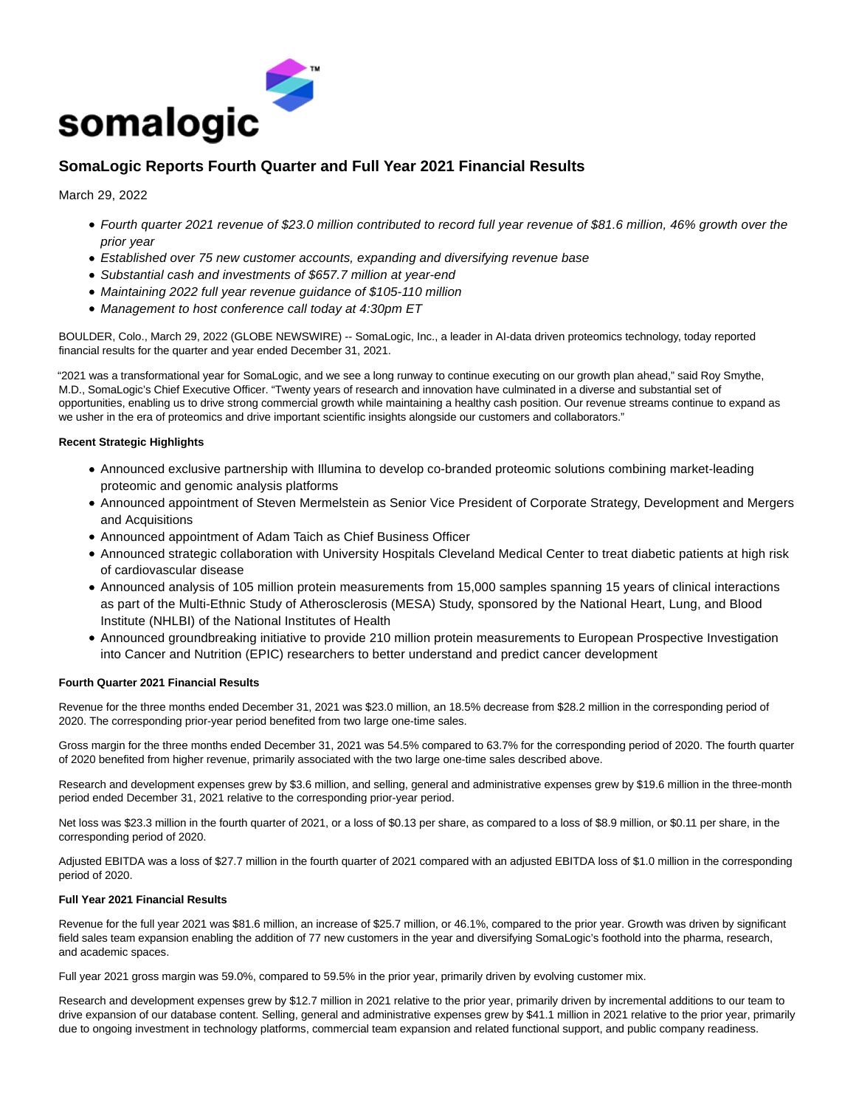

# **SomaLogic Reports Fourth Quarter and Full Year 2021 Financial Results**

March 29, 2022

- Fourth quarter 2021 revenue of \$23.0 million contributed to record full year revenue of \$81.6 million, 46% growth over the prior year
- Established over 75 new customer accounts, expanding and diversifying revenue base
- Substantial cash and investments of \$657.7 million at year-end
- Maintaining 2022 full year revenue guidance of \$105-110 million
- Management to host conference call today at 4:30pm ET

BOULDER, Colo., March 29, 2022 (GLOBE NEWSWIRE) -- SomaLogic, Inc., a leader in AI-data driven proteomics technology, today reported financial results for the quarter and year ended December 31, 2021.

"2021 was a transformational year for SomaLogic, and we see a long runway to continue executing on our growth plan ahead," said Roy Smythe, M.D., SomaLogic's Chief Executive Officer. "Twenty years of research and innovation have culminated in a diverse and substantial set of opportunities, enabling us to drive strong commercial growth while maintaining a healthy cash position. Our revenue streams continue to expand as we usher in the era of proteomics and drive important scientific insights alongside our customers and collaborators."

# **Recent Strategic Highlights**

- Announced exclusive partnership with Illumina to develop co-branded proteomic solutions combining market-leading proteomic and genomic analysis platforms
- Announced appointment of Steven Mermelstein as Senior Vice President of Corporate Strategy, Development and Mergers and Acquisitions
- Announced appointment of Adam Taich as Chief Business Officer
- Announced strategic collaboration with University Hospitals Cleveland Medical Center to treat diabetic patients at high risk of cardiovascular disease
- Announced analysis of 105 million protein measurements from 15,000 samples spanning 15 years of clinical interactions as part of the Multi-Ethnic Study of Atherosclerosis (MESA) Study, sponsored by the National Heart, Lung, and Blood Institute (NHLBI) of the National Institutes of Health
- Announced groundbreaking initiative to provide 210 million protein measurements to European Prospective Investigation into Cancer and Nutrition (EPIC) researchers to better understand and predict cancer development

# **Fourth Quarter 2021 Financial Results**

Revenue for the three months ended December 31, 2021 was \$23.0 million, an 18.5% decrease from \$28.2 million in the corresponding period of 2020. The corresponding prior-year period benefited from two large one-time sales.

Gross margin for the three months ended December 31, 2021 was 54.5% compared to 63.7% for the corresponding period of 2020. The fourth quarter of 2020 benefited from higher revenue, primarily associated with the two large one-time sales described above.

Research and development expenses grew by \$3.6 million, and selling, general and administrative expenses grew by \$19.6 million in the three-month period ended December 31, 2021 relative to the corresponding prior-year period.

Net loss was \$23.3 million in the fourth quarter of 2021, or a loss of \$0.13 per share, as compared to a loss of \$8.9 million, or \$0.11 per share, in the corresponding period of 2020.

Adjusted EBITDA was a loss of \$27.7 million in the fourth quarter of 2021 compared with an adjusted EBITDA loss of \$1.0 million in the corresponding period of 2020.

# **Full Year 2021 Financial Results**

Revenue for the full year 2021 was \$81.6 million, an increase of \$25.7 million, or 46.1%, compared to the prior year. Growth was driven by significant field sales team expansion enabling the addition of 77 new customers in the year and diversifying SomaLogic's foothold into the pharma, research, and academic spaces.

Full year 2021 gross margin was 59.0%, compared to 59.5% in the prior year, primarily driven by evolving customer mix.

Research and development expenses grew by \$12.7 million in 2021 relative to the prior year, primarily driven by incremental additions to our team to drive expansion of our database content. Selling, general and administrative expenses grew by \$41.1 million in 2021 relative to the prior year, primarily due to ongoing investment in technology platforms, commercial team expansion and related functional support, and public company readiness.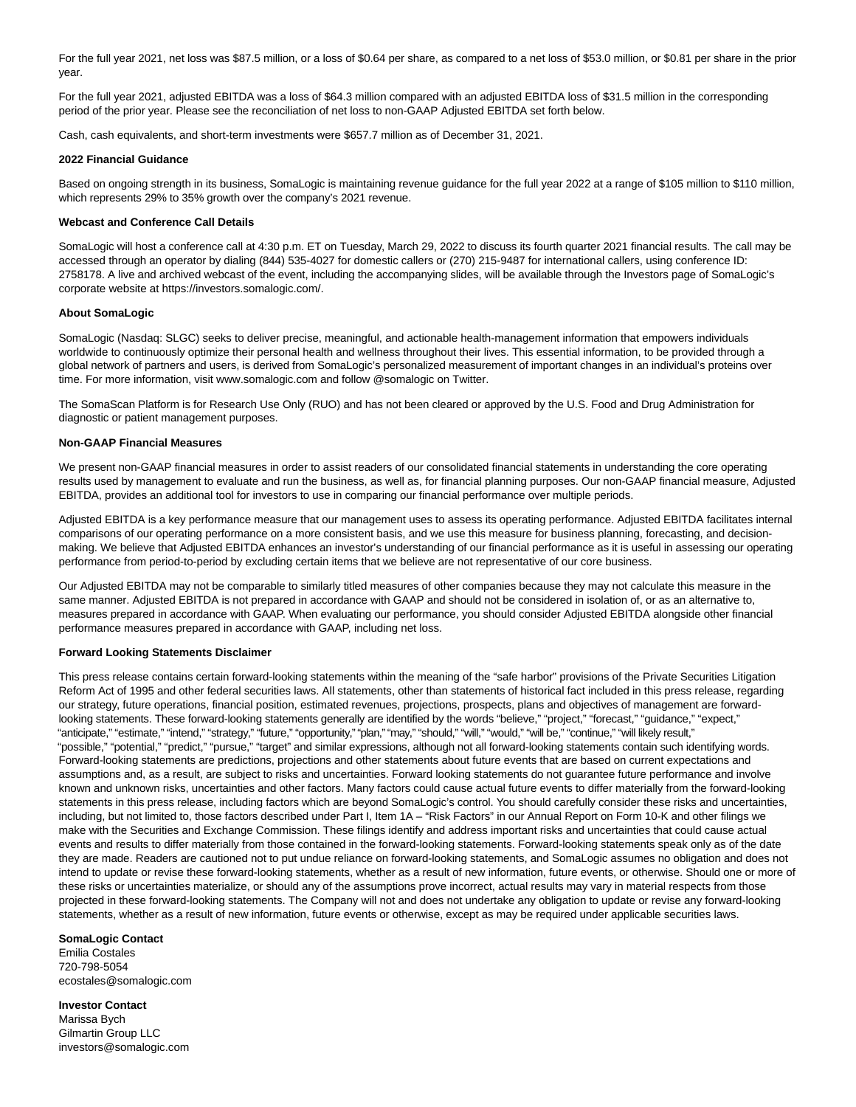For the full year 2021, net loss was \$87.5 million, or a loss of \$0.64 per share, as compared to a net loss of \$53.0 million, or \$0.81 per share in the prior year.

For the full year 2021, adjusted EBITDA was a loss of \$64.3 million compared with an adjusted EBITDA loss of \$31.5 million in the corresponding period of the prior year. Please see the reconciliation of net loss to non-GAAP Adjusted EBITDA set forth below.

Cash, cash equivalents, and short-term investments were \$657.7 million as of December 31, 2021.

# **2022 Financial Guidance**

Based on ongoing strength in its business, SomaLogic is maintaining revenue guidance for the full year 2022 at a range of \$105 million to \$110 million, which represents 29% to 35% growth over the company's 2021 revenue.

# **Webcast and Conference Call Details**

SomaLogic will host a conference call at 4:30 p.m. ET on Tuesday, March 29, 2022 to discuss its fourth quarter 2021 financial results. The call may be accessed through an operator by dialing (844) 535-4027 for domestic callers or (270) 215-9487 for international callers, using conference ID: 2758178. A live and archived webcast of the event, including the accompanying slides, will be available through the Investors page of SomaLogic's corporate website at https://investors.somalogic.com/.

#### **About SomaLogic**

SomaLogic (Nasdaq: SLGC) seeks to deliver precise, meaningful, and actionable health-management information that empowers individuals worldwide to continuously optimize their personal health and wellness throughout their lives. This essential information, to be provided through a global network of partners and users, is derived from SomaLogic's personalized measurement of important changes in an individual's proteins over time. For more information, visit www.somalogic.com and follow @somalogic on Twitter.

The SomaScan Platform is for Research Use Only (RUO) and has not been cleared or approved by the U.S. Food and Drug Administration for diagnostic or patient management purposes.

#### **Non-GAAP Financial Measures**

We present non-GAAP financial measures in order to assist readers of our consolidated financial statements in understanding the core operating results used by management to evaluate and run the business, as well as, for financial planning purposes. Our non-GAAP financial measure, Adjusted EBITDA, provides an additional tool for investors to use in comparing our financial performance over multiple periods.

Adjusted EBITDA is a key performance measure that our management uses to assess its operating performance. Adjusted EBITDA facilitates internal comparisons of our operating performance on a more consistent basis, and we use this measure for business planning, forecasting, and decisionmaking. We believe that Adjusted EBITDA enhances an investor's understanding of our financial performance as it is useful in assessing our operating performance from period-to-period by excluding certain items that we believe are not representative of our core business.

Our Adjusted EBITDA may not be comparable to similarly titled measures of other companies because they may not calculate this measure in the same manner. Adjusted EBITDA is not prepared in accordance with GAAP and should not be considered in isolation of, or as an alternative to, measures prepared in accordance with GAAP. When evaluating our performance, you should consider Adjusted EBITDA alongside other financial performance measures prepared in accordance with GAAP, including net loss.

#### **Forward Looking Statements Disclaimer**

This press release contains certain forward-looking statements within the meaning of the "safe harbor" provisions of the Private Securities Litigation Reform Act of 1995 and other federal securities laws. All statements, other than statements of historical fact included in this press release, regarding our strategy, future operations, financial position, estimated revenues, projections, prospects, plans and objectives of management are forwardlooking statements. These forward-looking statements generally are identified by the words "believe," "project," "forecast," "quidance," "expect," "anticipate," "estimate," "intend," "strategy," "future," "opportunity," "plan," "may," "should," "will," "would," "will be," "continue," "will likely result," "possible," "potential," "predict," "pursue," "target" and similar expressions, although not all forward-looking statements contain such identifying words. Forward-looking statements are predictions, projections and other statements about future events that are based on current expectations and assumptions and, as a result, are subject to risks and uncertainties. Forward looking statements do not guarantee future performance and involve known and unknown risks, uncertainties and other factors. Many factors could cause actual future events to differ materially from the forward-looking statements in this press release, including factors which are beyond SomaLogic's control. You should carefully consider these risks and uncertainties, including, but not limited to, those factors described under Part I, Item 1A – "Risk Factors" in our Annual Report on Form 10-K and other filings we make with the Securities and Exchange Commission. These filings identify and address important risks and uncertainties that could cause actual events and results to differ materially from those contained in the forward-looking statements. Forward-looking statements speak only as of the date they are made. Readers are cautioned not to put undue reliance on forward-looking statements, and SomaLogic assumes no obligation and does not intend to update or revise these forward-looking statements, whether as a result of new information, future events, or otherwise. Should one or more of these risks or uncertainties materialize, or should any of the assumptions prove incorrect, actual results may vary in material respects from those projected in these forward-looking statements. The Company will not and does not undertake any obligation to update or revise any forward-looking statements, whether as a result of new information, future events or otherwise, except as may be required under applicable securities laws.

# **SomaLogic Contact**

Emilia Costales 720-798-5054 ecostales@somalogic.com

**Investor Contact** Marissa Bych Gilmartin Group LLC investors@somalogic.com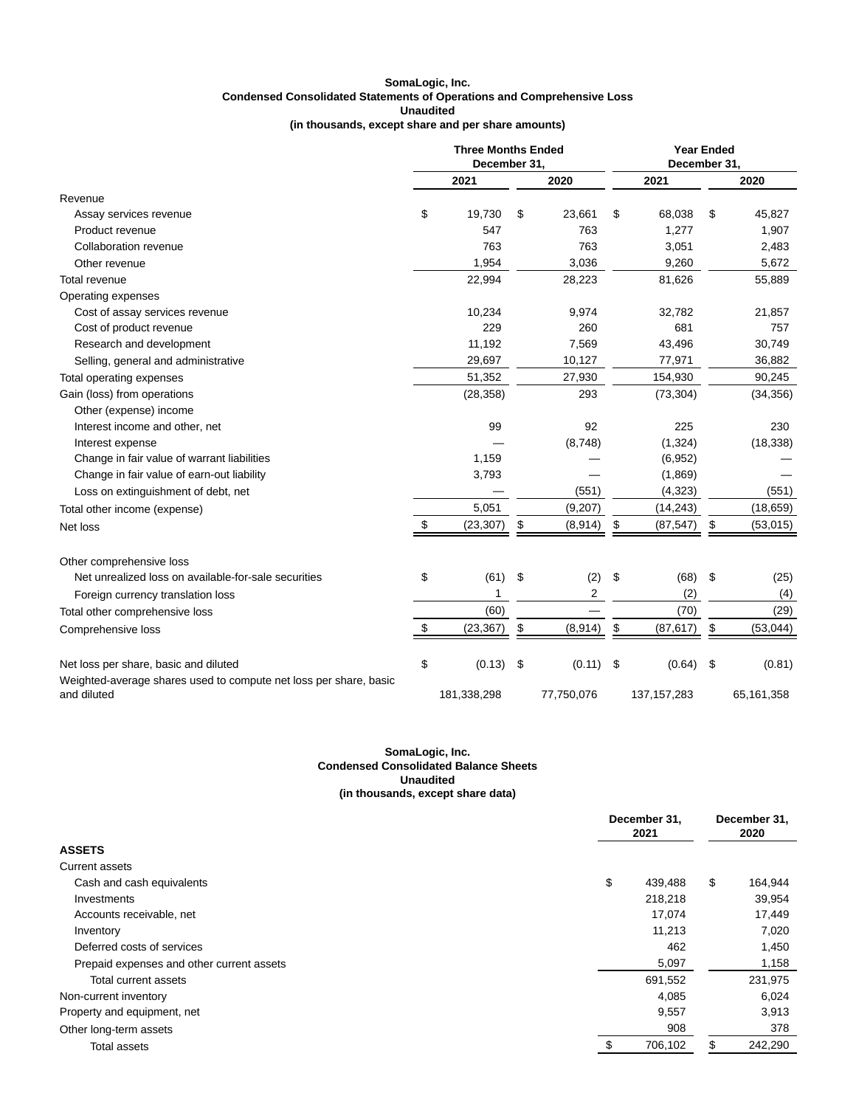# **SomaLogic, Inc. Condensed Consolidated Statements of Operations and Comprehensive Loss Unaudited (in thousands, except share and per share amounts)**

|                                                                   | <b>Three Months Ended</b><br>December 31. |             |    | <b>Year Ended</b><br>December 31. |    |               |    |            |
|-------------------------------------------------------------------|-------------------------------------------|-------------|----|-----------------------------------|----|---------------|----|------------|
|                                                                   |                                           | 2021        |    | 2020                              |    | 2021          |    | 2020       |
| Revenue                                                           |                                           |             |    |                                   |    |               |    |            |
| Assay services revenue                                            | \$                                        | 19,730      | \$ | 23,661                            | \$ | 68,038        | \$ | 45,827     |
| Product revenue                                                   |                                           | 547         |    | 763                               |    | 1,277         |    | 1,907      |
| Collaboration revenue                                             |                                           | 763         |    | 763                               |    | 3,051         |    | 2,483      |
| Other revenue                                                     |                                           | 1,954       |    | 3,036                             |    | 9,260         |    | 5,672      |
| <b>Total revenue</b>                                              |                                           | 22,994      |    | 28,223                            |    | 81,626        |    | 55,889     |
| Operating expenses                                                |                                           |             |    |                                   |    |               |    |            |
| Cost of assay services revenue                                    |                                           | 10,234      |    | 9,974                             |    | 32,782        |    | 21,857     |
| Cost of product revenue                                           |                                           | 229         |    | 260                               |    | 681           |    | 757        |
| Research and development                                          |                                           | 11,192      |    | 7,569                             |    | 43,496        |    | 30,749     |
| Selling, general and administrative                               |                                           | 29,697      |    | 10,127                            |    | 77,971        |    | 36,882     |
| Total operating expenses                                          |                                           | 51,352      |    | 27,930                            |    | 154,930       |    | 90,245     |
| Gain (loss) from operations                                       |                                           | (28, 358)   |    | 293                               |    | (73, 304)     |    | (34, 356)  |
| Other (expense) income                                            |                                           |             |    |                                   |    |               |    |            |
| Interest income and other, net                                    |                                           | 99          |    | 92                                |    | 225           |    | 230        |
| Interest expense                                                  |                                           |             |    | (8,748)                           |    | (1, 324)      |    | (18, 338)  |
| Change in fair value of warrant liabilities                       |                                           | 1,159       |    |                                   |    | (6,952)       |    |            |
| Change in fair value of earn-out liability                        |                                           | 3,793       |    |                                   |    | (1,869)       |    |            |
| Loss on extinguishment of debt, net                               |                                           |             |    | (551)                             |    | (4,323)       |    | (551)      |
| Total other income (expense)                                      |                                           | 5,051       |    | (9,207)                           |    | (14, 243)     |    | (18, 659)  |
| Net loss                                                          | \$                                        | (23, 307)   | \$ | (8,914)                           | \$ | (87, 547)     | \$ | (53,015)   |
| Other comprehensive loss                                          |                                           |             |    |                                   |    |               |    |            |
| Net unrealized loss on available-for-sale securities              | \$                                        | (61)        | \$ | (2)                               | \$ | (68)          | \$ | (25)       |
| Foreign currency translation loss                                 |                                           | 1           |    | 2                                 |    | (2)           |    | (4)        |
| Total other comprehensive loss                                    |                                           | (60)        |    |                                   |    | (70)          |    | (29)       |
| Comprehensive loss                                                | \$                                        | (23, 367)   | \$ | (8,914)                           | \$ | (87, 617)     | \$ | (53,044)   |
| Net loss per share, basic and diluted                             | \$                                        | (0.13)      | \$ | (0.11)                            | \$ | (0.64)        | \$ | (0.81)     |
| Weighted-average shares used to compute net loss per share, basic |                                           |             |    |                                   |    |               |    |            |
| and diluted                                                       |                                           | 181,338,298 |    | 77,750,076                        |    | 137, 157, 283 |    | 65,161,358 |

#### **SomaLogic, Inc. Condensed Consolidated Balance Sheets Unaudited (in thousands, except share data)**

|                                           | December 31,<br>2021 |    | December 31,<br>2020 |  |
|-------------------------------------------|----------------------|----|----------------------|--|
| <b>ASSETS</b>                             |                      |    |                      |  |
| Current assets                            |                      |    |                      |  |
| Cash and cash equivalents                 | \$<br>439,488        | \$ | 164,944              |  |
| <b>Investments</b>                        | 218,218              |    | 39,954               |  |
| Accounts receivable, net                  | 17.074               |    | 17,449               |  |
| Inventory                                 | 11,213               |    | 7,020                |  |
| Deferred costs of services                | 462                  |    | 1,450                |  |
| Prepaid expenses and other current assets | 5,097                |    | 1,158                |  |
| Total current assets                      | 691,552              |    | 231,975              |  |
| Non-current inventory                     | 4,085                |    | 6,024                |  |
| Property and equipment, net               | 9,557                |    | 3,913                |  |
| Other long-term assets                    | 908                  |    | 378                  |  |
| <b>Total assets</b>                       | 706,102              | \$ | 242,290              |  |